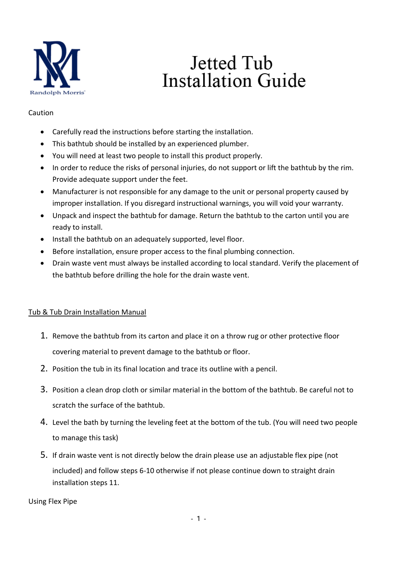

# Jetted Tub **Installation Guide**

#### Caution

- Carefully read the instructions before starting the installation.
- This bathtub should be installed by an experienced plumber.
- You will need at least two people to install this product properly.
- In order to reduce the risks of personal injuries, do not support or lift the bathtub by the rim. Provide adequate support under the feet.
- Manufacturer is not responsible for any damage to the unit or personal property caused by improper installation. If you disregard instructional warnings, you will void your warranty.
- Unpack and inspect the bathtub for damage. Return the bathtub to the carton until you are ready to install.
- Install the bathtub on an adequately supported, level floor.
- Before installation, ensure proper access to the final plumbing connection.
- Drain waste vent must always be installed according to local standard. Verify the placement of the bathtub before drilling the hole for the drain waste vent.

# Tub & Tub Drain Installation Manual

- 1. Remove the bathtub from its carton and place it on a throw rug or other protective floor covering material to prevent damage to the bathtub or floor.
- 2. Position the tub in its final location and trace its outline with a pencil.
- 3. Position a clean drop cloth or similar material in the bottom of the bathtub. Be careful not to scratch the surface of the bathtub.
- 4. Level the bath by turning the leveling feet at the bottom of the tub. (You will need two people to manage this task)
- 5. If drain waste vent is not directly below the drain please use an adjustable flex pipe (not included) and follow steps 6-10 otherwise if not please continue down to straight drain installation steps 11.

Using Flex Pipe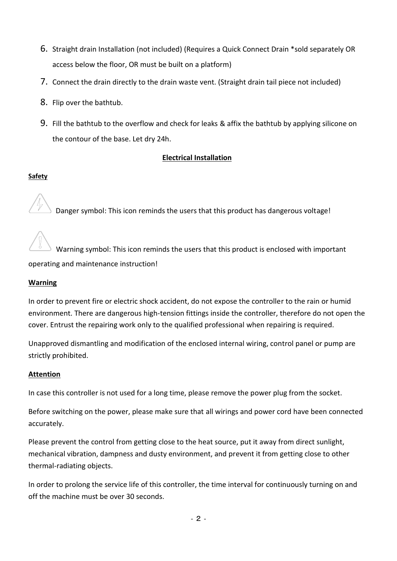- 6. Straight drain Installation (not included) (Requires a Quick Connect Drain \*sold separately OR access below the floor, OR must be built on a platform)
- 7. Connect the drain directly to the drain waste vent. (Straight drain tail piece not included)
- 8. Flip over the bathtub.
- 9. Fill the bathtub to the overflow and check for leaks & affix the bathtub by applying silicone on the contour of the base. Let dry 24h.

#### **Electrical Installation**

### **Safety**

Danger symbol: This icon reminds the users that this product has dangerous voltage!

 Warning symbol: This icon reminds the users that this product is enclosed with important operating and maintenance instruction!

#### **Warning**

In order to prevent fire or electric shock accident, do not expose the controller to the rain or humid environment. There are dangerous high-tension fittings inside the controller, therefore do not open the cover. Entrust the repairing work only to the qualified professional when repairing is required.

Unapproved dismantling and modification of the enclosed internal wiring, control panel or pump are strictly prohibited.

#### **Attention**

In case this controller is not used for a long time, please remove the power plug from the socket.

Before switching on the power, please make sure that all wirings and power cord have been connected accurately.

Please prevent the control from getting close to the heat source, put it away from direct sunlight, mechanical vibration, dampness and dusty environment, and prevent it from getting close to other thermal-radiating objects.

In order to prolong the service life of this controller, the time interval for continuously turning on and off the machine must be over 30 seconds.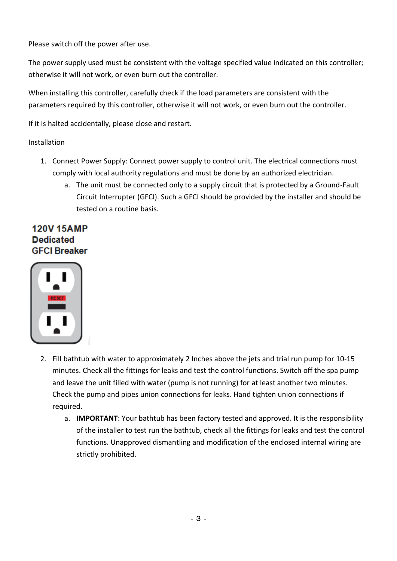Please switch off the power after use.

The power supply used must be consistent with the voltage specified value indicated on this controller; otherwise it will not work, or even burn out the controller.

When installing this controller, carefully check if the load parameters are consistent with the parameters required by this controller, otherwise it will not work, or even burn out the controller.

If it is halted accidentally, please close and restart.

# Installation

- 1. Connect Power Supply: Connect power supply to control unit. The electrical connections must comply with local authority regulations and must be done by an authorized electrician.
	- a. The unit must be connected only to a supply circuit that is protected by a Ground-Fault Circuit Interrupter (GFCI). Such a GFCI should be provided by the installer and should be tested on a routine basis.

# **120V 15AMP Dedicated GFCI Breaker**



- 2. Fill bathtub with water to approximately 2 Inches above the jets and trial run pump for 10-15 minutes. Check all the fittings for leaks and test the control functions. Switch off the spa pump and leave the unit filled with water (pump is not running) for at least another two minutes. Check the pump and pipes union connections for leaks. Hand tighten union connections if required.
	- a. **IMPORTANT**: Your bathtub has been factory tested and approved. It is the responsibility of the installer to test run the bathtub, check all the fittings for leaks and test the control functions. Unapproved dismantling and modification of the enclosed internal wiring are strictly prohibited.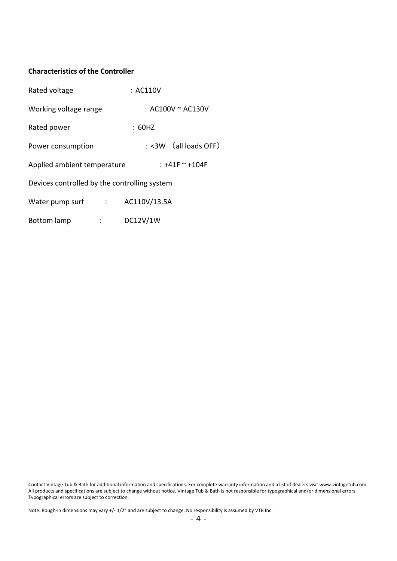#### **Characteristics of the Controller**

| Rated voltage                                                                                          | : AC110V                  |
|--------------------------------------------------------------------------------------------------------|---------------------------|
| Working voltage range                                                                                  | : AC100V $^{\sim}$ AC130V |
| Rated power                                                                                            | : 60HZ                    |
| Power consumption                                                                                      | : <3W (all loads OFF)     |
| Applied ambient temperature                                                                            | : +41F ~ +104F            |
| Devices controlled by the controlling system                                                           |                           |
| Water pump surf in the state of the state of the state of the state of the state of the state of the S | AC110V/13.5A              |
| <b>Bottom lamp</b><br>$\mathcal{L}_{\rm{max}}$ .                                                       | DC12V/1W                  |

Contact Vintage Tub & Bath for additional information and specifications. For complete warranty information and a list of dealers visit www.vintagetub.com. All products and specifications are subject to change without notice. Vintage Tub & Bath is not responsible for typographical and/or dimensional errors. Typographical errors are subject to correction.

Note: Rough-in dimensions may vary +/- 1/2" and are subject to change. No responsibility is assumed by VTB Inc.